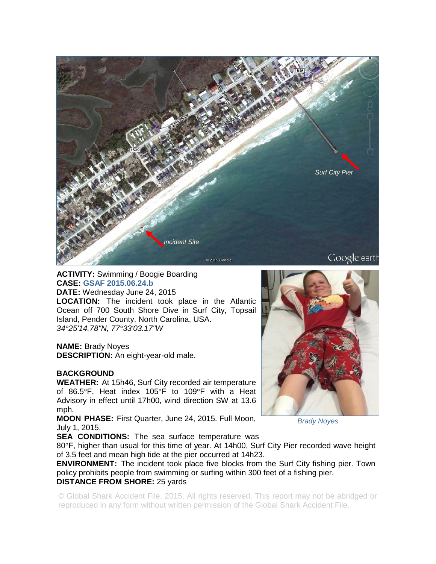

# **ACTIVITY:** Swimming / Boogie Boarding **CASE: GSAF 2015.06.24.b**

**DATE:** Wednesday June 24, 2015

**LOCATION:** The incident took place in the Atlantic Ocean off 700 South Shore Dive in Surf City, Topsail Island, Pender County, North Carolina, USA. *34°25'14.78"N, 77°33'03.17"W* 

#### **NAME:** Brady Noyes

**DESCRIPTION:** An eight-year-old male.

#### **BACKGROUND**

**WEATHER:** At 15h46, Surf City recorded air temperature of 86.5°F, Heat index 105°F to 109°F with a Heat Advisory in effect until 17h00, wind direction SW at 13.6 mph.

**MOON PHASE:** First Quarter, June 24, 2015. Full Moon, July 1, 2015.

**SEA CONDITIONS:** The sea surface temperature was

80°F, higher than usual for this time of year. At 14h00, Surf City Pier recorded wave height of 3.5 feet and mean high tide at the pier occurred at 14h23.

**ENVIRONMENT:** The incident took place five blocks from the Surf City fishing pier. Town policy prohibits people from swimming or surfing within 300 feet of a fishing pier. **DISTANCE FROM SHORE:** 25 yards

© Global Shark Accident File, 2015. All rights reserved. This report may not be abridged or reproduced in any form without written permission of the Global Shark Accident File.

*Brady Noyes*